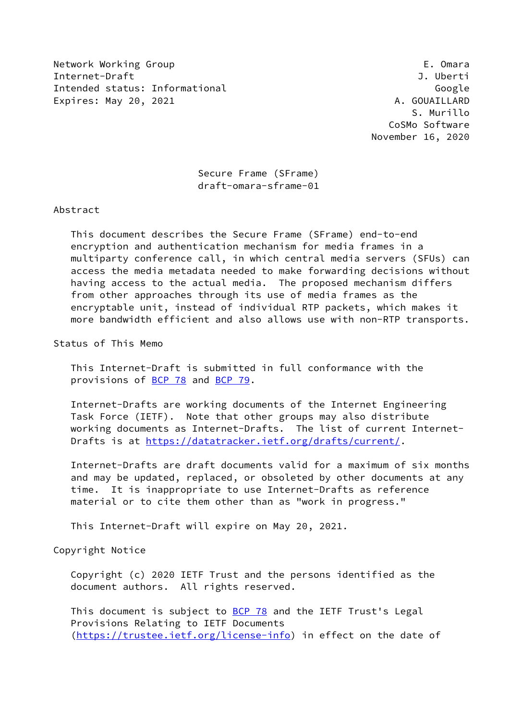Network Working Group **E. Omara** Internet-Draft J. Uberti Intended status: Informational Google Expires: May 20, 2021 and the contract of the A. GOUAILLARD

 S. Murillo CoSMo Software November 16, 2020

 Secure Frame (SFrame) draft-omara-sframe-01

Abstract

 This document describes the Secure Frame (SFrame) end-to-end encryption and authentication mechanism for media frames in a multiparty conference call, in which central media servers (SFUs) can access the media metadata needed to make forwarding decisions without having access to the actual media. The proposed mechanism differs from other approaches through its use of media frames as the encryptable unit, instead of individual RTP packets, which makes it more bandwidth efficient and also allows use with non-RTP transports.

Status of This Memo

 This Internet-Draft is submitted in full conformance with the provisions of [BCP 78](https://datatracker.ietf.org/doc/pdf/bcp78) and [BCP 79](https://datatracker.ietf.org/doc/pdf/bcp79).

 Internet-Drafts are working documents of the Internet Engineering Task Force (IETF). Note that other groups may also distribute working documents as Internet-Drafts. The list of current Internet- Drafts is at<https://datatracker.ietf.org/drafts/current/>.

 Internet-Drafts are draft documents valid for a maximum of six months and may be updated, replaced, or obsoleted by other documents at any time. It is inappropriate to use Internet-Drafts as reference material or to cite them other than as "work in progress."

This Internet-Draft will expire on May 20, 2021.

Copyright Notice

 Copyright (c) 2020 IETF Trust and the persons identified as the document authors. All rights reserved.

This document is subject to **[BCP 78](https://datatracker.ietf.org/doc/pdf/bcp78)** and the IETF Trust's Legal Provisions Relating to IETF Documents [\(https://trustee.ietf.org/license-info](https://trustee.ietf.org/license-info)) in effect on the date of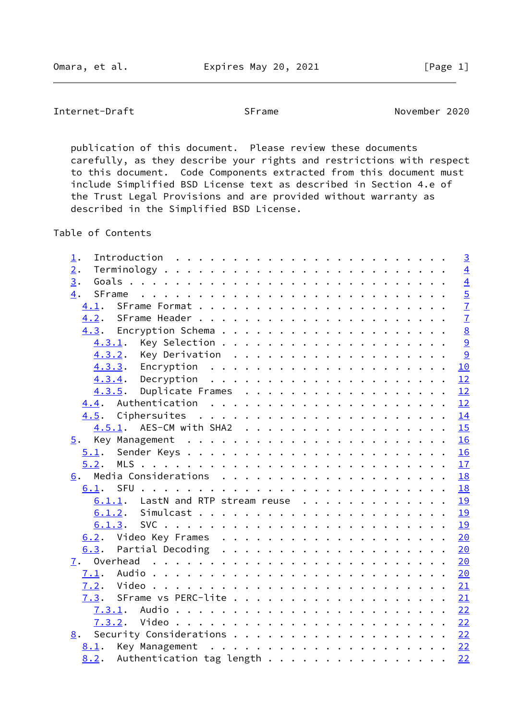Internet-Draft SFrame SFrame November 2020

 publication of this document. Please review these documents carefully, as they describe your rights and restrictions with respect to this document. Code Components extracted from this document must include Simplified BSD License text as described in Section 4.e of the Trust Legal Provisions and are provided without warranty as described in the Simplified BSD License.

Table of Contents

| $\mathbf{\underline{1}}$ . |                                                               |  |  |  |  |  |  |  |  |  | $\overline{3}$  |
|----------------------------|---------------------------------------------------------------|--|--|--|--|--|--|--|--|--|-----------------|
| $\overline{2}$ .           |                                                               |  |  |  |  |  |  |  |  |  | $\overline{4}$  |
| 3.                         |                                                               |  |  |  |  |  |  |  |  |  | $\overline{4}$  |
| 4.<br>SFrame               |                                                               |  |  |  |  |  |  |  |  |  | $\overline{5}$  |
| 4.1.                       |                                                               |  |  |  |  |  |  |  |  |  | $\overline{1}$  |
| 4.2.                       |                                                               |  |  |  |  |  |  |  |  |  | $\overline{1}$  |
|                            |                                                               |  |  |  |  |  |  |  |  |  | $\underline{8}$ |
| 4.3.1.                     |                                                               |  |  |  |  |  |  |  |  |  | 9               |
| 4.3.2.                     |                                                               |  |  |  |  |  |  |  |  |  | $\overline{9}$  |
| 4.3.3.                     |                                                               |  |  |  |  |  |  |  |  |  | 10              |
| 4.3.4.                     | Decryption $\ldots \ldots \ldots \ldots \ldots \ldots \ldots$ |  |  |  |  |  |  |  |  |  | 12              |
| 4.3.5.                     | Duplicate Frames                                              |  |  |  |  |  |  |  |  |  | 12              |
| 4.4.                       |                                                               |  |  |  |  |  |  |  |  |  | 12              |
|                            |                                                               |  |  |  |  |  |  |  |  |  | 14              |
|                            | 4.5.1. AES-CM with SHA2                                       |  |  |  |  |  |  |  |  |  | 15              |
|                            |                                                               |  |  |  |  |  |  |  |  |  | 16              |
| 5.1.                       |                                                               |  |  |  |  |  |  |  |  |  | 16              |
| 5.2.                       |                                                               |  |  |  |  |  |  |  |  |  | 17              |
| 6.                         |                                                               |  |  |  |  |  |  |  |  |  | 18              |
| 6.1.                       |                                                               |  |  |  |  |  |  |  |  |  | 18              |
| 6.1.1.                     | LastN and RTP stream reuse                                    |  |  |  |  |  |  |  |  |  | 19              |
|                            |                                                               |  |  |  |  |  |  |  |  |  | <b>19</b>       |
| 6.1.3.                     |                                                               |  |  |  |  |  |  |  |  |  | 19              |
|                            |                                                               |  |  |  |  |  |  |  |  |  | 20              |
| 6.3.                       |                                                               |  |  |  |  |  |  |  |  |  | 20              |
| 7.                         |                                                               |  |  |  |  |  |  |  |  |  | 20              |
| 7.1.                       |                                                               |  |  |  |  |  |  |  |  |  | 20              |
| 7.2.                       |                                                               |  |  |  |  |  |  |  |  |  | 21              |
|                            |                                                               |  |  |  |  |  |  |  |  |  | 21              |
|                            |                                                               |  |  |  |  |  |  |  |  |  | 22              |
| 7.3.2.                     |                                                               |  |  |  |  |  |  |  |  |  |                 |
| 8.                         | Security Considerations 22                                    |  |  |  |  |  |  |  |  |  |                 |
|                            |                                                               |  |  |  |  |  |  |  |  |  |                 |
|                            |                                                               |  |  |  |  |  |  |  |  |  | 22              |
|                            |                                                               |  |  |  |  |  |  |  |  |  |                 |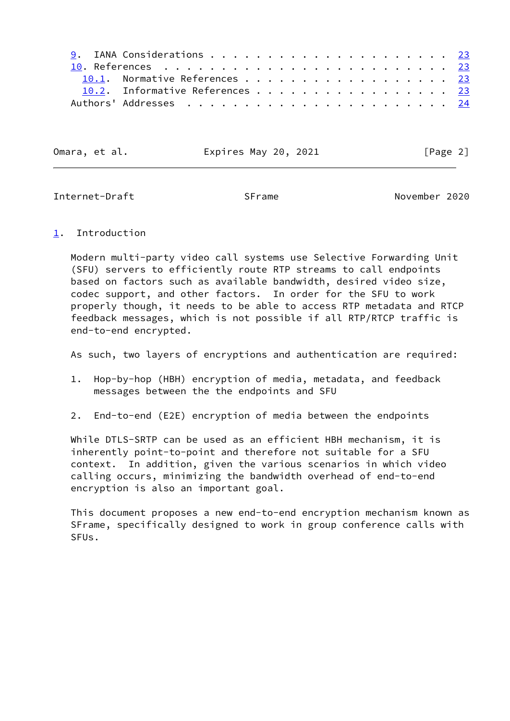| 10.1. Normative References 23   |  |  |  |  |  |  |  |  |  |
|---------------------------------|--|--|--|--|--|--|--|--|--|
| 10.2. Informative References 23 |  |  |  |  |  |  |  |  |  |
|                                 |  |  |  |  |  |  |  |  |  |

Omara, et al. **Expires May 20, 2021** [Page 2]

<span id="page-2-1"></span>Internet-Draft SFrame November 2020

#### <span id="page-2-0"></span>[1](#page-2-0). Introduction

 Modern multi-party video call systems use Selective Forwarding Unit (SFU) servers to efficiently route RTP streams to call endpoints based on factors such as available bandwidth, desired video size, codec support, and other factors. In order for the SFU to work properly though, it needs to be able to access RTP metadata and RTCP feedback messages, which is not possible if all RTP/RTCP traffic is end-to-end encrypted.

As such, two layers of encryptions and authentication are required:

- 1. Hop-by-hop (HBH) encryption of media, metadata, and feedback messages between the the endpoints and SFU
- 2. End-to-end (E2E) encryption of media between the endpoints

 While DTLS-SRTP can be used as an efficient HBH mechanism, it is inherently point-to-point and therefore not suitable for a SFU context. In addition, given the various scenarios in which video calling occurs, minimizing the bandwidth overhead of end-to-end encryption is also an important goal.

 This document proposes a new end-to-end encryption mechanism known as SFrame, specifically designed to work in group conference calls with SFUs.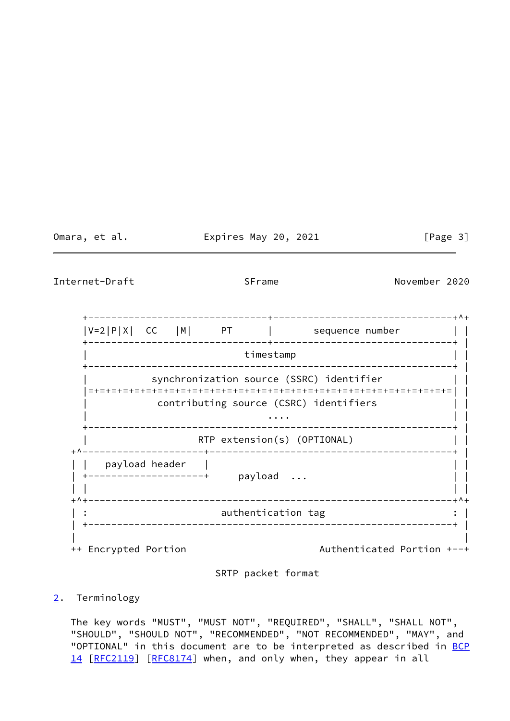Omara, et al. **Expires May 20, 2021** [Page 3]

<span id="page-3-1"></span>Internet-Draft SFrame SFrame November 2020

 +-------------------------------+-------------------------------+^+  $|V=2|P|X|$  CC  $|M|$  PT  $|$  sequence number +-------------------------------+-------------------------------+ | timestamp +---------------------------------------------------------------+ | synchronization source (SSRC) identifier  $| \ |$  |=+=+=+=+=+=+=+=+=+=+=+=+=+=+=+=+=+=+=+=+=+=+=+=+=+=+=+=+=+=+=+=| | | contributing source (CSRC) identifiers | | | .... | .... | .... | .... | .... | .... | .... | .... | .... | .... | .... | .... | .... | .... | .... | ... +---------------------------------------------------------------+ | RTP extension(s) (OPTIONAL) +^---------------------+------------------------------------------+ | | | payload header | | | | +--------------------+ payload ... | | | | | | +^+---------------------------------------------------------------+^+ authentication tag | +---------------------------------------------------------------+ | | | ++ Encrypted Portion example and the Authenticated Portion +--+

#### SRTP packet format

# <span id="page-3-0"></span>[2](#page-3-0). Terminology

 The key words "MUST", "MUST NOT", "REQUIRED", "SHALL", "SHALL NOT", "SHOULD", "SHOULD NOT", "RECOMMENDED", "NOT RECOMMENDED", "MAY", and "OPTIONAL" in this document are to be interpreted as described in [BCP](https://datatracker.ietf.org/doc/pdf/bcp14) [14](https://datatracker.ietf.org/doc/pdf/bcp14) [[RFC2119\]](https://datatracker.ietf.org/doc/pdf/rfc2119) [\[RFC8174](https://datatracker.ietf.org/doc/pdf/rfc8174)] when, and only when, they appear in all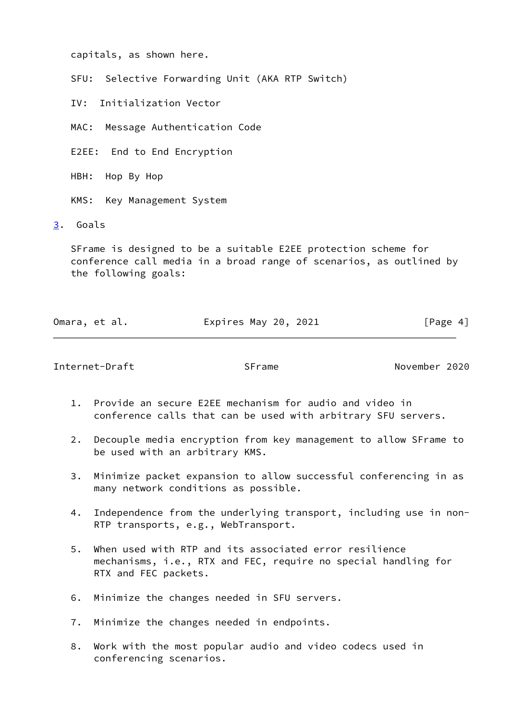capitals, as shown here.

SFU: Selective Forwarding Unit (AKA RTP Switch)

IV: Initialization Vector

MAC: Message Authentication Code

E2EE: End to End Encryption

HBH: Hop By Hop

KMS: Key Management System

<span id="page-4-0"></span>[3](#page-4-0). Goals

 SFrame is designed to be a suitable E2EE protection scheme for conference call media in a broad range of scenarios, as outlined by the following goals:

| Omara, et al. | Expires May 20, 2021 | [Page 4] |
|---------------|----------------------|----------|
|               |                      |          |

<span id="page-4-1"></span>Internet-Draft SFrame November 2020

- 1. Provide an secure E2EE mechanism for audio and video in conference calls that can be used with arbitrary SFU servers.
- 2. Decouple media encryption from key management to allow SFrame to be used with an arbitrary KMS.
- 3. Minimize packet expansion to allow successful conferencing in as many network conditions as possible.
- 4. Independence from the underlying transport, including use in non- RTP transports, e.g., WebTransport.
- 5. When used with RTP and its associated error resilience mechanisms, i.e., RTX and FEC, require no special handling for RTX and FEC packets.
- 6. Minimize the changes needed in SFU servers.
- 7. Minimize the changes needed in endpoints.
- 8. Work with the most popular audio and video codecs used in conferencing scenarios.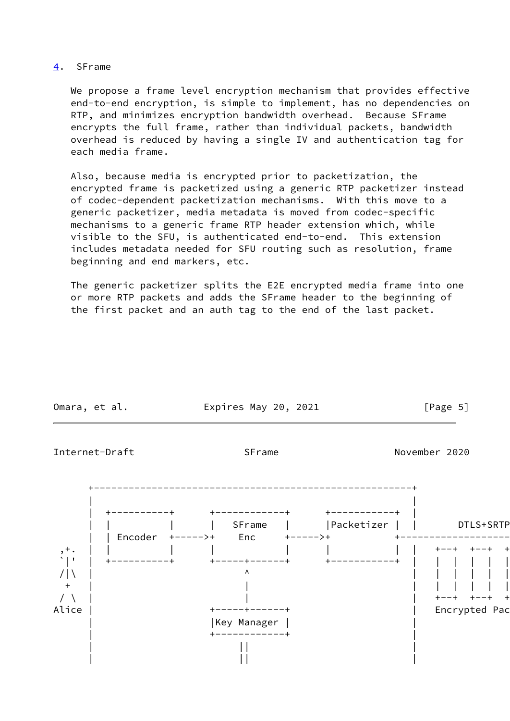### <span id="page-5-0"></span>[4](#page-5-0). SFrame

 We propose a frame level encryption mechanism that provides effective end-to-end encryption, is simple to implement, has no dependencies on RTP, and minimizes encryption bandwidth overhead. Because SFrame encrypts the full frame, rather than individual packets, bandwidth overhead is reduced by having a single IV and authentication tag for each media frame.

 Also, because media is encrypted prior to packetization, the encrypted frame is packetized using a generic RTP packetizer instead of codec-dependent packetization mechanisms. With this move to a generic packetizer, media metadata is moved from codec-specific mechanisms to a generic frame RTP header extension which, while visible to the SFU, is authenticated end-to-end. This extension includes metadata needed for SFU routing such as resolution, frame beginning and end markers, etc.

 The generic packetizer splits the E2E encrypted media frame into one or more RTP packets and adds the SFrame header to the beginning of the first packet and an auth tag to the end of the last packet.

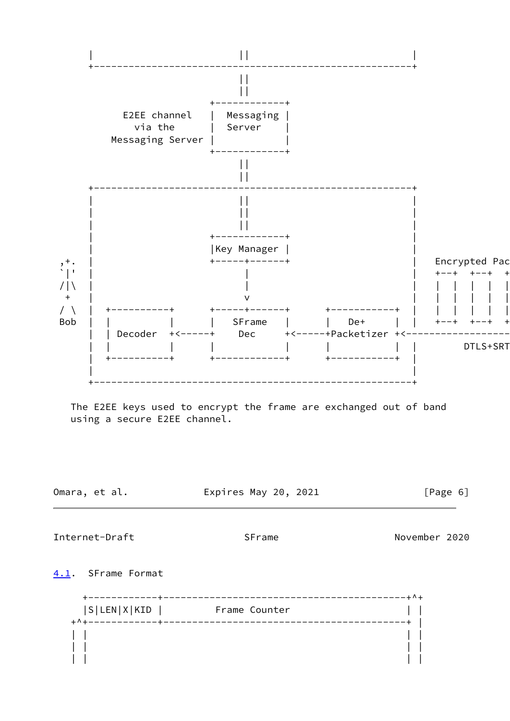

Expires May 20, 2021 [Page 6]

<span id="page-6-1"></span>Internet-Draft SFrame November 2020

<span id="page-6-0"></span>[4.1](#page-6-0). SFrame Format

 +------------+------------------------------------------+^+ |S|LEN|X|KID | Frame Counter | | +^+------------+------------------------------------------+ | | | | | | | | | | | | |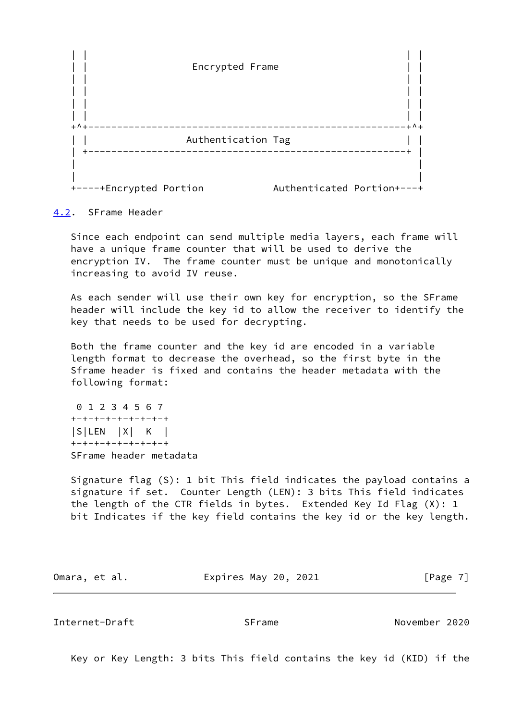

<span id="page-7-0"></span>[4.2](#page-7-0). SFrame Header

 Since each endpoint can send multiple media layers, each frame will have a unique frame counter that will be used to derive the encryption IV. The frame counter must be unique and monotonically increasing to avoid IV reuse.

 As each sender will use their own key for encryption, so the SFrame header will include the key id to allow the receiver to identify the key that needs to be used for decrypting.

 Both the frame counter and the key id are encoded in a variable length format to decrease the overhead, so the first byte in the Sframe header is fixed and contains the header metadata with the following format:

 0 1 2 3 4 5 6 7 +-+-+-+-+-+-+-+-+ |S|LEN |X| K | +-+-+-+-+-+-+-+-+ SFrame header metadata

 Signature flag (S): 1 bit This field indicates the payload contains a signature if set. Counter Length (LEN): 3 bits This field indicates the length of the CTR fields in bytes. Extended Key Id Flag (X): 1 bit Indicates if the key field contains the key id or the key length.

Omara, et al. **Expires May 20, 2021** [Page 7]

<span id="page-7-1"></span>Internet-Draft SFrame November 2020

Key or Key Length: 3 bits This field contains the key id (KID) if the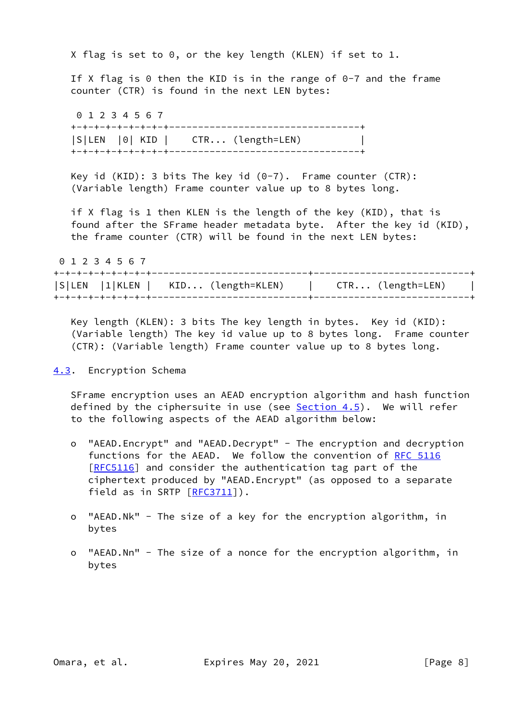X flag is set to 0, or the key length (KLEN) if set to 1.

If X flag is  $\theta$  then the KID is in the range of  $\theta$ -7 and the frame counter (CTR) is found in the next LEN bytes:

 0 1 2 3 4 5 6 7 +-+-+-+-+-+-+-+-+---------------------------------+ |S|LEN |0| KID | CTR... (length=LEN) | +-+-+-+-+-+-+-+-+---------------------------------+

Key id (KID): 3 bits The key id  $(0-7)$ . Frame counter (CTR): (Variable length) Frame counter value up to 8 bytes long.

 if X flag is 1 then KLEN is the length of the key (KID), that is found after the SFrame header metadata byte. After the key id (KID), the frame counter (CTR) will be found in the next LEN bytes:

 0 1 2 3 4 5 6 7 +-+-+-+-+-+-+-+-+---------------------------+---------------------------+ |S|LEN |1|KLEN | KID... (length=KLEN) | CTR... (length=LEN) | +-+-+-+-+-+-+-+-+---------------------------+---------------------------+

 Key length (KLEN): 3 bits The key length in bytes. Key id (KID): (Variable length) The key id value up to 8 bytes long. Frame counter (CTR): (Variable length) Frame counter value up to 8 bytes long.

## <span id="page-8-0"></span>[4.3](#page-8-0). Encryption Schema

 SFrame encryption uses an AEAD encryption algorithm and hash function defined by the ciphersuite in use (see  $Section 4.5$ ). We will refer to the following aspects of the AEAD algorithm below:

- o "AEAD.Encrypt" and "AEAD.Decrypt" The encryption and decryption functions for the AEAD. We follow the convention of [RFC 5116](https://datatracker.ietf.org/doc/pdf/rfc5116) [[RFC5116\]](https://datatracker.ietf.org/doc/pdf/rfc5116) and consider the authentication tag part of the ciphertext produced by "AEAD.Encrypt" (as opposed to a separate field as in SRTP [\[RFC3711](https://datatracker.ietf.org/doc/pdf/rfc3711)]).
- o "AEAD.Nk" The size of a key for the encryption algorithm, in bytes
- o "AEAD.Nn" The size of a nonce for the encryption algorithm, in bytes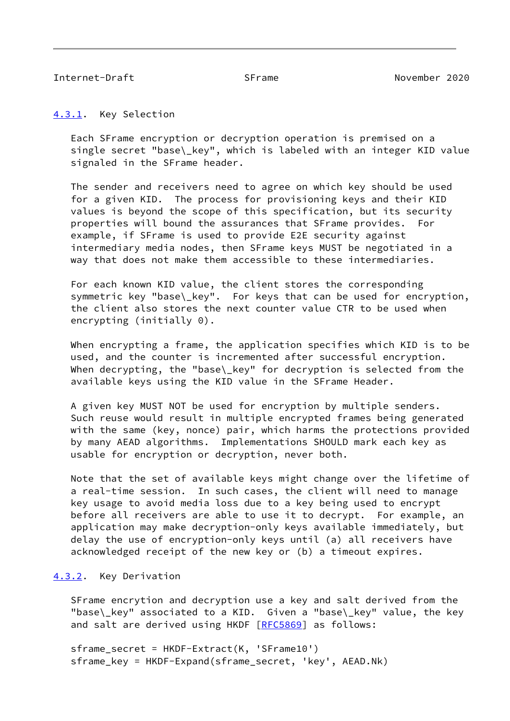#### <span id="page-9-1"></span><span id="page-9-0"></span>[4.3.1](#page-9-0). Key Selection

 Each SFrame encryption or decryption operation is premised on a single secret "base\\_key", which is labeled with an integer KID value signaled in the SFrame header.

 The sender and receivers need to agree on which key should be used for a given KID. The process for provisioning keys and their KID values is beyond the scope of this specification, but its security properties will bound the assurances that SFrame provides. For example, if SFrame is used to provide E2E security against intermediary media nodes, then SFrame keys MUST be negotiated in a way that does not make them accessible to these intermediaries.

 For each known KID value, the client stores the corresponding symmetric key "base\\_key". For keys that can be used for encryption, the client also stores the next counter value CTR to be used when encrypting (initially 0).

 When encrypting a frame, the application specifies which KID is to be used, and the counter is incremented after successful encryption. When decrypting, the "base\\_key" for decryption is selected from the available keys using the KID value in the SFrame Header.

 A given key MUST NOT be used for encryption by multiple senders. Such reuse would result in multiple encrypted frames being generated with the same (key, nonce) pair, which harms the protections provided by many AEAD algorithms. Implementations SHOULD mark each key as usable for encryption or decryption, never both.

 Note that the set of available keys might change over the lifetime of a real-time session. In such cases, the client will need to manage key usage to avoid media loss due to a key being used to encrypt before all receivers are able to use it to decrypt. For example, an application may make decryption-only keys available immediately, but delay the use of encryption-only keys until (a) all receivers have acknowledged receipt of the new key or (b) a timeout expires.

# <span id="page-9-2"></span>[4.3.2](#page-9-2). Key Derivation

 SFrame encrytion and decryption use a key and salt derived from the "base\\_key" associated to a KID. Given a "base\\_key" value, the key and salt are derived using HKDF [\[RFC5869](https://datatracker.ietf.org/doc/pdf/rfc5869)] as follows:

 sframe\_secret = HKDF-Extract(K, 'SFrame10') sframe\_key = HKDF-Expand(sframe\_secret, 'key', AEAD.Nk)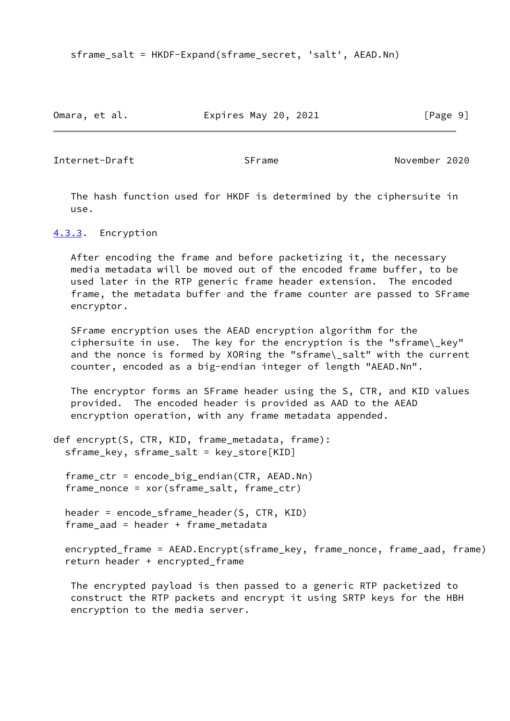sframe\_salt = HKDF-Expand(sframe\_secret, 'salt', AEAD.Nn)

Omara, et al. **Expires May 20, 2021** [Page 9]

<span id="page-10-1"></span>Internet-Draft SFrame November 2020

 The hash function used for HKDF is determined by the ciphersuite in use.

<span id="page-10-0"></span>[4.3.3](#page-10-0). Encryption

 After encoding the frame and before packetizing it, the necessary media metadata will be moved out of the encoded frame buffer, to be used later in the RTP generic frame header extension. The encoded frame, the metadata buffer and the frame counter are passed to SFrame encryptor.

 SFrame encryption uses the AEAD encryption algorithm for the ciphersuite in use. The key for the encryption is the "sframe\\_key" and the nonce is formed by XORing the "sframe\\_salt" with the current counter, encoded as a big-endian integer of length "AEAD.Nn".

 The encryptor forms an SFrame header using the S, CTR, and KID values provided. The encoded header is provided as AAD to the AEAD encryption operation, with any frame metadata appended.

```
def encrypt(S, CTR, KID, frame_metadata, frame):
 sframe_key, sframe_salt = key_store[KID]
```
 frame\_ctr = encode\_big\_endian(CTR, AEAD.Nn) frame\_nonce = xor(sframe\_salt, frame\_ctr)

 header = encode\_sframe\_header(S, CTR, KID) frame\_aad = header + frame\_metadata

 encrypted\_frame = AEAD.Encrypt(sframe\_key, frame\_nonce, frame\_aad, frame) return header + encrypted\_frame

 The encrypted payload is then passed to a generic RTP packetized to construct the RTP packets and encrypt it using SRTP keys for the HBH encryption to the media server.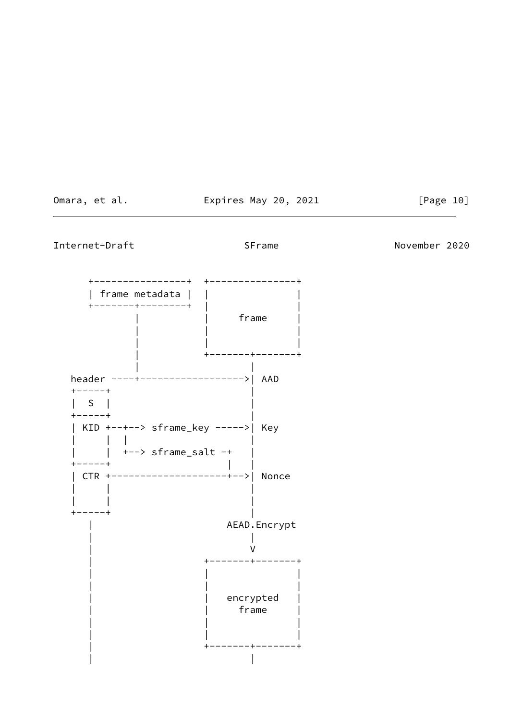Omara, et al. **Expires May 20, 2021** [Page 10]

Internet-Draft SFrame SFrame November 2020

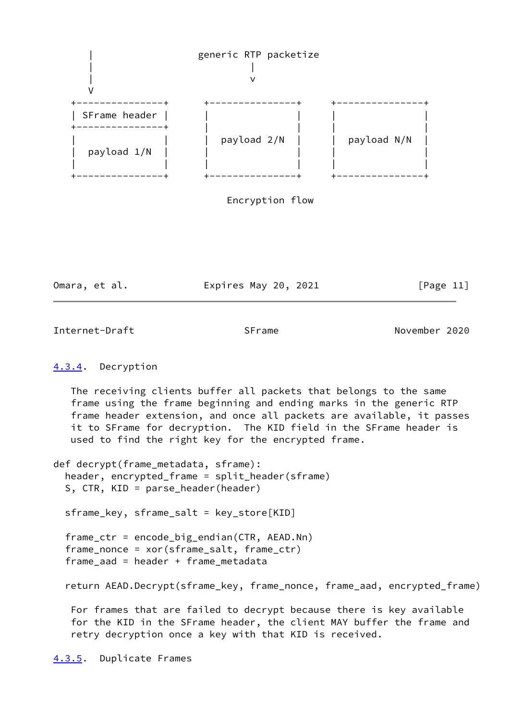

| Omara, et al. | Expires May 20, 2021 | [Page 11] |
|---------------|----------------------|-----------|
|---------------|----------------------|-----------|

<span id="page-12-1"></span>Internet-Draft SFrame November 2020

# <span id="page-12-0"></span>[4.3.4](#page-12-0). Decryption

 The receiving clients buffer all packets that belongs to the same frame using the frame beginning and ending marks in the generic RTP frame header extension, and once all packets are available, it passes it to SFrame for decryption. The KID field in the SFrame header is used to find the right key for the encrypted frame.

def decrypt(frame\_metadata, sframe): header, encrypted\_frame = split\_header(sframe) S, CTR, KID = parse\_header(header)

sframe\_key, sframe\_salt = key\_store[KID]

 frame\_ctr = encode\_big\_endian(CTR, AEAD.Nn) frame\_nonce = xor(sframe\_salt, frame\_ctr) frame\_aad = header + frame\_metadata

return AEAD.Decrypt(sframe\_key, frame\_nonce, frame\_aad, encrypted\_frame)

 For frames that are failed to decrypt because there is key available for the KID in the SFrame header, the client MAY buffer the frame and retry decryption once a key with that KID is received.

<span id="page-12-2"></span>[4.3.5](#page-12-2). Duplicate Frames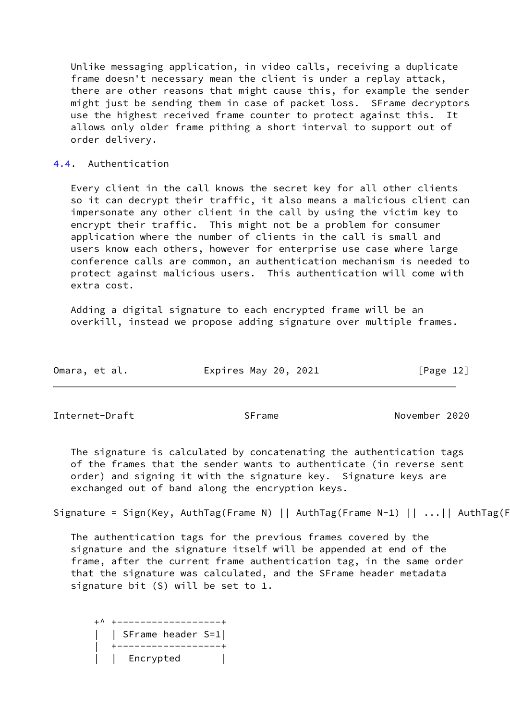Unlike messaging application, in video calls, receiving a duplicate frame doesn't necessary mean the client is under a replay attack, there are other reasons that might cause this, for example the sender might just be sending them in case of packet loss. SFrame decryptors use the highest received frame counter to protect against this. It allows only older frame pithing a short interval to support out of order delivery.

## <span id="page-13-0"></span>[4.4](#page-13-0). Authentication

 Every client in the call knows the secret key for all other clients so it can decrypt their traffic, it also means a malicious client can impersonate any other client in the call by using the victim key to encrypt their traffic. This might not be a problem for consumer application where the number of clients in the call is small and users know each others, however for enterprise use case where large conference calls are common, an authentication mechanism is needed to protect against malicious users. This authentication will come with extra cost.

 Adding a digital signature to each encrypted frame will be an overkill, instead we propose adding signature over multiple frames.

| Omara, et al. | Expires May 20, 2021 | [Page 12] |
|---------------|----------------------|-----------|
|---------------|----------------------|-----------|

Internet-Draft SFrame November 2020

 The signature is calculated by concatenating the authentication tags of the frames that the sender wants to authenticate (in reverse sent order) and signing it with the signature key. Signature keys are exchanged out of band along the encryption keys.

Signature = Sign(Key, AuthTag(Frame N) || AuthTag(Frame N-1) || ...|| AuthTag(F

 The authentication tags for the previous frames covered by the signature and the signature itself will be appended at end of the frame, after the current frame authentication tag, in the same order that the signature was calculated, and the SFrame header metadata signature bit (S) will be set to 1.

 +^ +------------------+ | SFrame header S=1| | +------------------+ | | Encrypted |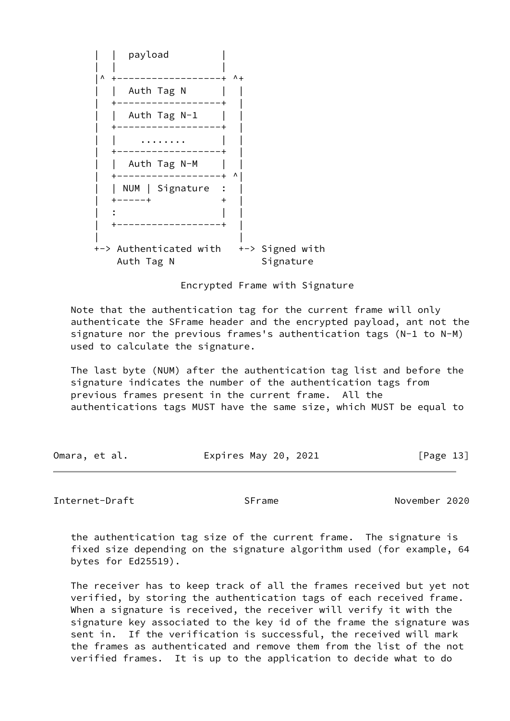

Encrypted Frame with Signature

 Note that the authentication tag for the current frame will only authenticate the SFrame header and the encrypted payload, ant not the signature nor the previous frames's authentication tags (N-1 to N-M) used to calculate the signature.

 The last byte (NUM) after the authentication tag list and before the signature indicates the number of the authentication tags from previous frames present in the current frame. All the authentications tags MUST have the same size, which MUST be equal to

| Omara, et al. | Expires May 20, 2021 | [Page 13] |
|---------------|----------------------|-----------|
|---------------|----------------------|-----------|

<span id="page-14-0"></span>Internet-Draft SFrame November 2020

 the authentication tag size of the current frame. The signature is fixed size depending on the signature algorithm used (for example, 64 bytes for Ed25519).

 The receiver has to keep track of all the frames received but yet not verified, by storing the authentication tags of each received frame. When a signature is received, the receiver will verify it with the signature key associated to the key id of the frame the signature was sent in. If the verification is successful, the received will mark the frames as authenticated and remove them from the list of the not verified frames. It is up to the application to decide what to do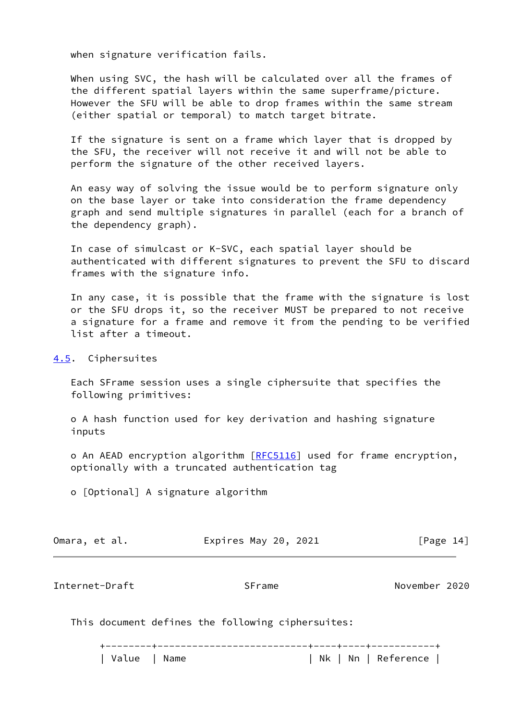when signature verification fails.

 When using SVC, the hash will be calculated over all the frames of the different spatial layers within the same superframe/picture. However the SFU will be able to drop frames within the same stream (either spatial or temporal) to match target bitrate.

 If the signature is sent on a frame which layer that is dropped by the SFU, the receiver will not receive it and will not be able to perform the signature of the other received layers.

 An easy way of solving the issue would be to perform signature only on the base layer or take into consideration the frame dependency graph and send multiple signatures in parallel (each for a branch of the dependency graph).

 In case of simulcast or K-SVC, each spatial layer should be authenticated with different signatures to prevent the SFU to discard frames with the signature info.

 In any case, it is possible that the frame with the signature is lost or the SFU drops it, so the receiver MUST be prepared to not receive a signature for a frame and remove it from the pending to be verified list after a timeout.

<span id="page-15-0"></span>[4.5](#page-15-0). Ciphersuites

 Each SFrame session uses a single ciphersuite that specifies the following primitives:

 o A hash function used for key derivation and hashing signature inputs

o An AEAD encryption algorithm [\[RFC5116](https://datatracker.ietf.org/doc/pdf/rfc5116)] used for frame encryption, optionally with a truncated authentication tag

o [Optional] A signature algorithm

| Omara, et al. | Expires May 20, 2021 | [Page 14] |
|---------------|----------------------|-----------|
|               |                      |           |

<span id="page-15-1"></span>Internet-Draft SFrame November 2020

This document defines the following ciphersuites:

 +--------+--------------------------+----+----+-----------+ | Value | Name | Nk | Nn | Reference |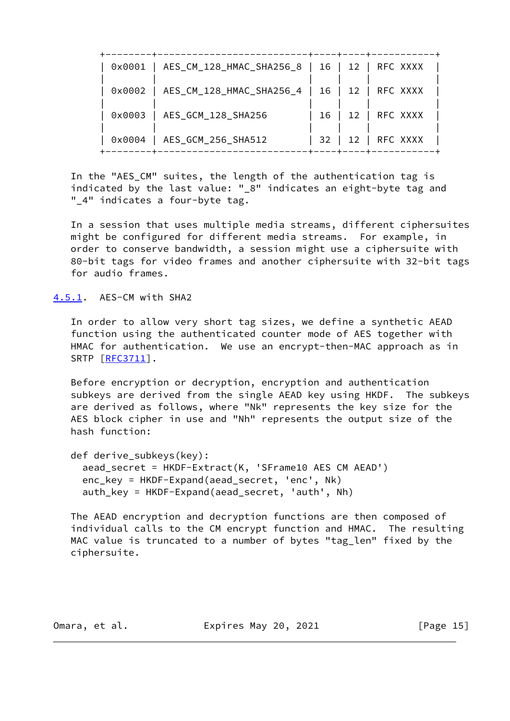|        | 0x0001   AES_CM_128_HMAC_SHA256_8   16   12   RFC XXXX |      |               |
|--------|--------------------------------------------------------|------|---------------|
|        | 0x0002   AES_CM_128_HMAC_SHA256_4   16   12   RFC XXXX |      |               |
| 0x0003 | AES_GCM_128_SHA256                                     | 16 I | 12   RFC XXXX |
|        | 0x0004   AES_GCM_256_SHA512                            | 32 I | 12   RFC XXXX |

 In the "AES\_CM" suites, the length of the authentication tag is indicated by the last value: "\_8" indicates an eight-byte tag and " 4" indicates a four-byte tag.

 In a session that uses multiple media streams, different ciphersuites might be configured for different media streams. For example, in order to conserve bandwidth, a session might use a ciphersuite with 80-bit tags for video frames and another ciphersuite with 32-bit tags for audio frames.

<span id="page-16-0"></span>[4.5.1](#page-16-0). AES-CM with SHA2

 In order to allow very short tag sizes, we define a synthetic AEAD function using the authenticated counter mode of AES together with HMAC for authentication. We use an encrypt-then-MAC approach as in SRTP [\[RFC3711](https://datatracker.ietf.org/doc/pdf/rfc3711)].

 Before encryption or decryption, encryption and authentication subkeys are derived from the single AEAD key using HKDF. The subkeys are derived as follows, where "Nk" represents the key size for the AES block cipher in use and "Nh" represents the output size of the hash function:

```
 def derive_subkeys(key):
 aead secret = HKDF-Extract(K, 'SFrame10 AES CM AEAD')
  enc_key = HKDF-Expand(aead_secret, 'enc', Nk)
  auth_key = HKDF-Expand(aead_secret, 'auth', Nh)
```
 The AEAD encryption and decryption functions are then composed of individual calls to the CM encrypt function and HMAC. The resulting MAC value is truncated to a number of bytes "tag\_len" fixed by the ciphersuite.

Omara, et al. **Expires May 20, 2021** [Page 15]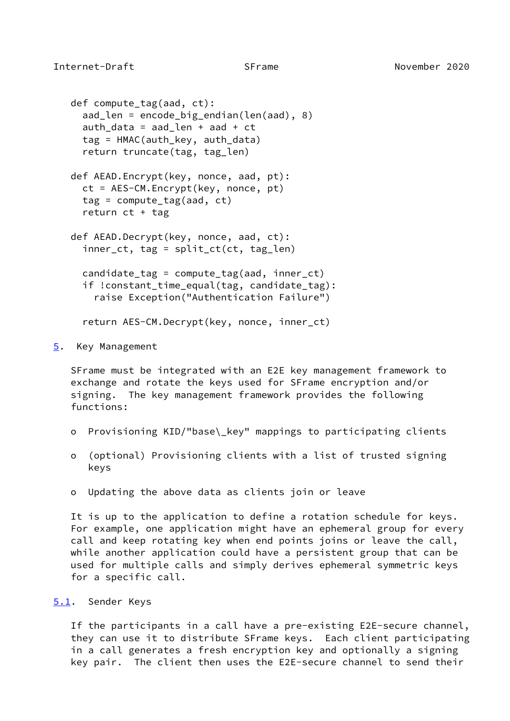```
 def compute_tag(aad, ct):
  aad_len = encode_big_endian(len(aad), 8)
 auth data = aad len + aad + ct
  tag = HMAC(auth_key, auth_data)
  return truncate(tag, tag_len)
def AEAD.Encrypt(key, nonce, aad, pt):
  ct = AES-CM.Encrypt(key, nonce, pt)
  tag = compute_tag(aad, ct)
  return ct + tag
def AEAD.Decrypt(key, nonce, aad, ct):
  inner_ct, tag = split_ct(ct, tag_len)
 candidate tag = compute tag(aad, inner ct)
 if !constant time equal(tag, candidate tag):
    raise Exception("Authentication Failure")
  return AES-CM.Decrypt(key, nonce, inner_ct)
```
<span id="page-17-0"></span>[5](#page-17-0). Key Management

 SFrame must be integrated with an E2E key management framework to exchange and rotate the keys used for SFrame encryption and/or signing. The key management framework provides the following functions:

- o Provisioning KID/"base\\_key" mappings to participating clients
- o (optional) Provisioning clients with a list of trusted signing keys
- o Updating the above data as clients join or leave

 It is up to the application to define a rotation schedule for keys. For example, one application might have an ephemeral group for every call and keep rotating key when end points joins or leave the call, while another application could have a persistent group that can be used for multiple calls and simply derives ephemeral symmetric keys for a specific call.

## <span id="page-17-2"></span>[5.1](#page-17-2). Sender Keys

 If the participants in a call have a pre-existing E2E-secure channel, they can use it to distribute SFrame keys. Each client participating in a call generates a fresh encryption key and optionally a signing key pair. The client then uses the E2E-secure channel to send their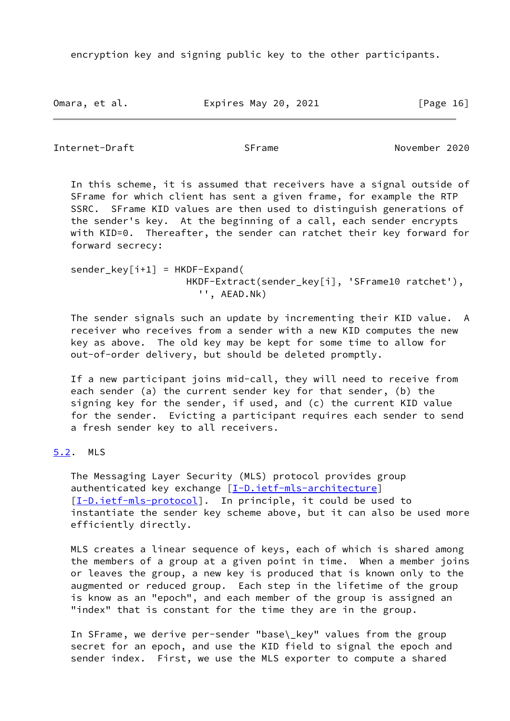encryption key and signing public key to the other participants.

Omara, et al. **Expires May 20, 2021** [Page 16]

<span id="page-18-1"></span>Internet-Draft SFrame November 2020

 In this scheme, it is assumed that receivers have a signal outside of SFrame for which client has sent a given frame, for example the RTP SSRC. SFrame KID values are then used to distinguish generations of the sender's key. At the beginning of a call, each sender encrypts with KID=0. Thereafter, the sender can ratchet their key forward for forward secrecy:

 $sender_{key}[i+1] = HKDF-Expand($  HKDF-Extract(sender\_key[i], 'SFrame10 ratchet'), '', AEAD.Nk)

 The sender signals such an update by incrementing their KID value. A receiver who receives from a sender with a new KID computes the new key as above. The old key may be kept for some time to allow for out-of-order delivery, but should be deleted promptly.

 If a new participant joins mid-call, they will need to receive from each sender (a) the current sender key for that sender, (b) the signing key for the sender, if used, and (c) the current KID value for the sender. Evicting a participant requires each sender to send a fresh sender key to all receivers.

# <span id="page-18-0"></span>[5.2](#page-18-0). MLS

 The Messaging Layer Security (MLS) protocol provides group authenticated key exchange [[I-D.ietf-mls-architecture\]](#page-25-4) [\[I-D.ietf-mls-protocol](#page-25-5)]. In principle, it could be used to instantiate the sender key scheme above, but it can also be used more efficiently directly.

 MLS creates a linear sequence of keys, each of which is shared among the members of a group at a given point in time. When a member joins or leaves the group, a new key is produced that is known only to the augmented or reduced group. Each step in the lifetime of the group is know as an "epoch", and each member of the group is assigned an "index" that is constant for the time they are in the group.

 In SFrame, we derive per-sender "base\\_key" values from the group secret for an epoch, and use the KID field to signal the epoch and sender index. First, we use the MLS exporter to compute a shared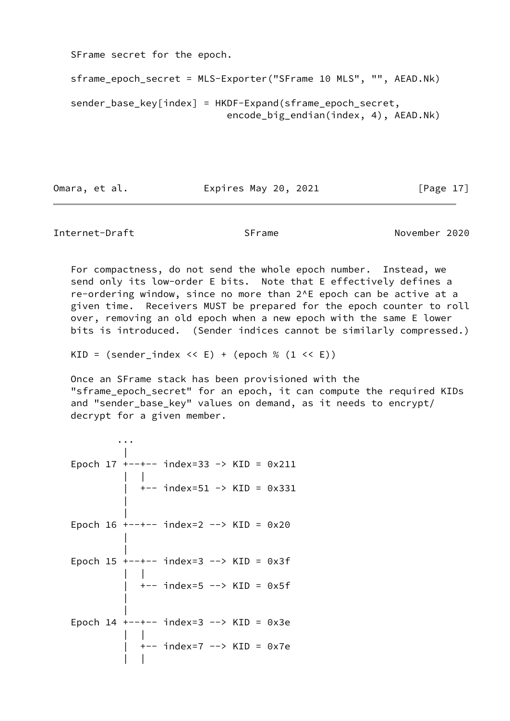SFrame secret for the epoch.

```
 sframe_epoch_secret = MLS-Exporter("SFrame 10 MLS", "", AEAD.Nk)
sender_base_key[index] = HKDF-Expand(sframe_epoch_secret,
                           encode_big_endian(index, 4), AEAD.Nk)
```
Omara, et al. **Expires May 20, 2021** [Page 17]

<span id="page-19-0"></span>Internet-Draft SFrame November 2020

 For compactness, do not send the whole epoch number. Instead, we send only its low-order E bits. Note that E effectively defines a re-ordering window, since no more than 2^E epoch can be active at a given time. Receivers MUST be prepared for the epoch counter to roll over, removing an old epoch when a new epoch with the same E lower bits is introduced. (Sender indices cannot be similarly compressed.)

KID =  $(sender_index \le E) + (epoch \% (1 \le E))$ 

 Once an SFrame stack has been provisioned with the "sframe\_epoch\_secret" for an epoch, it can compute the required KIDs and "sender\_base\_key" values on demand, as it needs to encrypt/ decrypt for a given member.

 ... | Epoch 17 +--+-- index=33 -> KID = 0x211 | | | +-- index=51 -> KID = 0x331 | | Epoch  $16$  +--+-- index=2 --> KID =  $0x20$  | | Epoch 15 +--+-- index=3 --> KID = 0x3f | | | +-- index=5 --> KID = 0x5f | | Epoch  $14$  +--+-- index=3 --> KID = 0x3e | | | +-- index=7 --> KID = 0x7e | |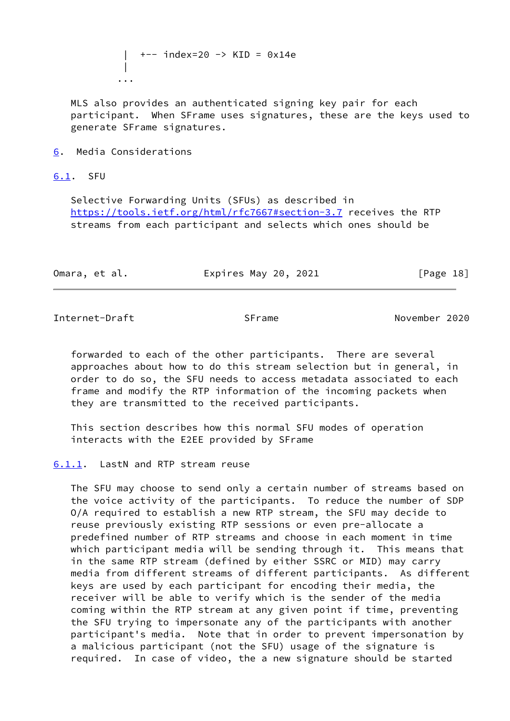| +-- index=20 -> KID = 0x14e | ...

 MLS also provides an authenticated signing key pair for each participant. When SFrame uses signatures, these are the keys used to generate SFrame signatures.

<span id="page-20-0"></span>[6](#page-20-0). Media Considerations

<span id="page-20-1"></span>[6.1](#page-20-1). SFU

 Selective Forwarding Units (SFUs) as described in <https://tools.ietf.org/html/rfc7667#section-3.7> receives the RTP streams from each participant and selects which ones should be

| Omara, et al. | Expires May 20, 2021 | [Page 18] |
|---------------|----------------------|-----------|
|---------------|----------------------|-----------|

<span id="page-20-3"></span>Internet-Draft SFrame November 2020

 forwarded to each of the other participants. There are several approaches about how to do this stream selection but in general, in order to do so, the SFU needs to access metadata associated to each frame and modify the RTP information of the incoming packets when they are transmitted to the received participants.

 This section describes how this normal SFU modes of operation interacts with the E2EE provided by SFrame

#### <span id="page-20-2"></span>[6.1.1](#page-20-2). LastN and RTP stream reuse

 The SFU may choose to send only a certain number of streams based on the voice activity of the participants. To reduce the number of SDP O/A required to establish a new RTP stream, the SFU may decide to reuse previously existing RTP sessions or even pre-allocate a predefined number of RTP streams and choose in each moment in time which participant media will be sending through it. This means that in the same RTP stream (defined by either SSRC or MID) may carry media from different streams of different participants. As different keys are used by each participant for encoding their media, the receiver will be able to verify which is the sender of the media coming within the RTP stream at any given point if time, preventing the SFU trying to impersonate any of the participants with another participant's media. Note that in order to prevent impersonation by a malicious participant (not the SFU) usage of the signature is required. In case of video, the a new signature should be started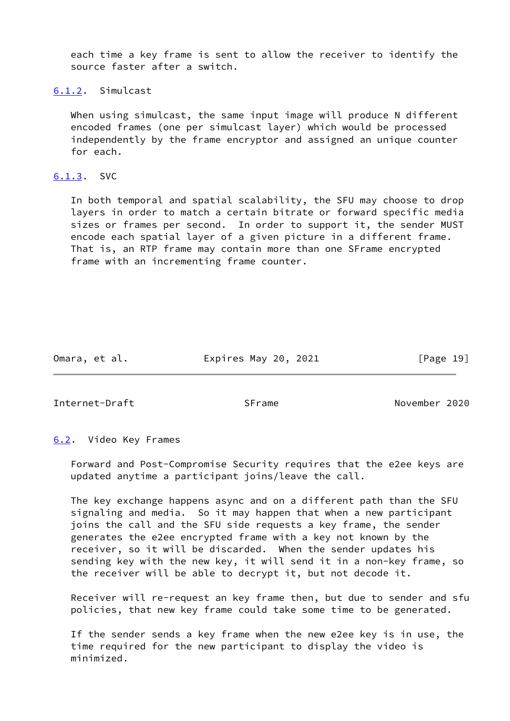each time a key frame is sent to allow the receiver to identify the source faster after a switch.

<span id="page-21-0"></span>[6.1.2](#page-21-0). Simulcast

When using simulcast, the same input image will produce N different encoded frames (one per simulcast layer) which would be processed independently by the frame encryptor and assigned an unique counter for each.

# <span id="page-21-1"></span>[6.1.3](#page-21-1). SVC

 In both temporal and spatial scalability, the SFU may choose to drop layers in order to match a certain bitrate or forward specific media sizes or frames per second. In order to support it, the sender MUST encode each spatial layer of a given picture in a different frame. That is, an RTP frame may contain more than one SFrame encrypted frame with an incrementing frame counter.

Omara, et al. **Expires May 20, 2021** [Page 19]

<span id="page-21-3"></span>Internet-Draft SFrame November 2020

## <span id="page-21-2"></span>[6.2](#page-21-2). Video Key Frames

 Forward and Post-Compromise Security requires that the e2ee keys are updated anytime a participant joins/leave the call.

 The key exchange happens async and on a different path than the SFU signaling and media. So it may happen that when a new participant joins the call and the SFU side requests a key frame, the sender generates the e2ee encrypted frame with a key not known by the receiver, so it will be discarded. When the sender updates his sending key with the new key, it will send it in a non-key frame, so the receiver will be able to decrypt it, but not decode it.

 Receiver will re-request an key frame then, but due to sender and sfu policies, that new key frame could take some time to be generated.

 If the sender sends a key frame when the new e2ee key is in use, the time required for the new participant to display the video is minimized.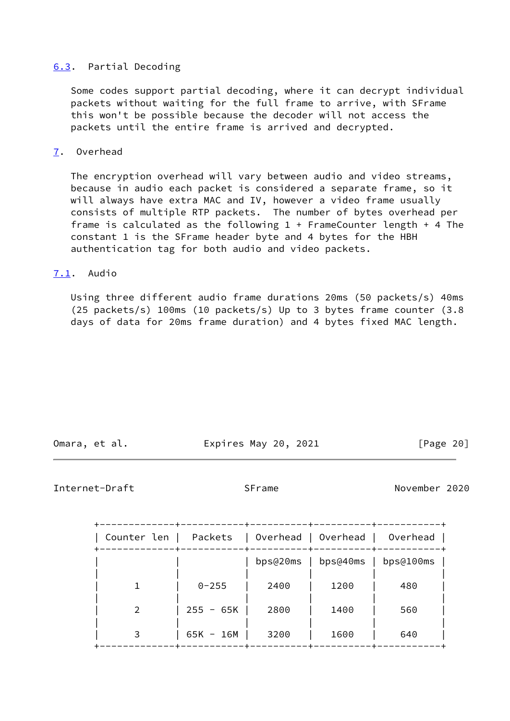## <span id="page-22-0"></span>[6.3](#page-22-0). Partial Decoding

 Some codes support partial decoding, where it can decrypt individual packets without waiting for the full frame to arrive, with SFrame this won't be possible because the decoder will not access the packets until the entire frame is arrived and decrypted.

#### <span id="page-22-1"></span>[7](#page-22-1). Overhead

 The encryption overhead will vary between audio and video streams, because in audio each packet is considered a separate frame, so it will always have extra MAC and IV, however a video frame usually consists of multiple RTP packets. The number of bytes overhead per frame is calculated as the following 1 + FrameCounter length + 4 The constant 1 is the SFrame header byte and 4 bytes for the HBH authentication tag for both audio and video packets.

# <span id="page-22-2"></span>[7.1](#page-22-2). Audio

 Using three different audio frame durations 20ms (50 packets/s) 40ms (25 packets/s) 100ms (10 packets/s) Up to 3 bytes frame counter (3.8 days of data for 20ms frame duration) and 4 bytes fixed MAC length.

Omara, et al. **Expires May 20, 2021** [Page 20]

### <span id="page-22-3"></span>Internet-Draft SFrame November 2020

| Counter len | Packets<br>$\Box$ | Overhead   Overhead   Overhead |                         |           |
|-------------|-------------------|--------------------------------|-------------------------|-----------|
|             |                   |                                | $bps@20ms$   $bps@40ms$ | bps@100ms |
|             | $0 - 255$         | 2400                           | 1200                    | 480       |
|             | $255 - 65K$       | 2800                           | 1400                    | 560       |
|             | $65K - 16M$       | 3200                           | 1600                    | 640       |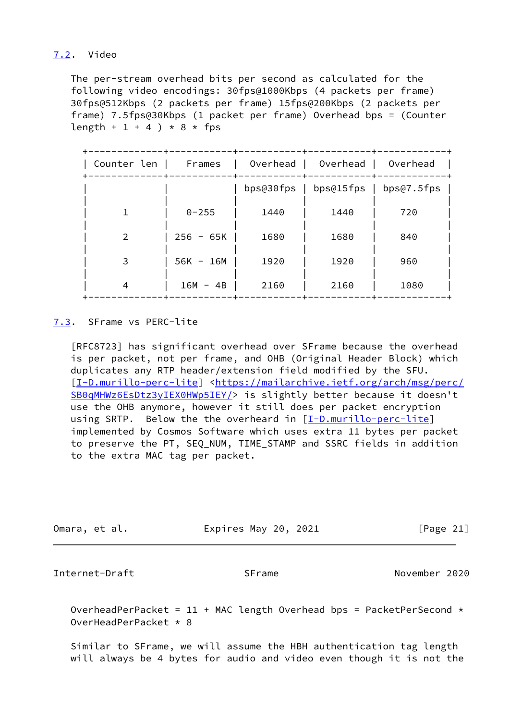# <span id="page-23-0"></span>[7.2](#page-23-0). Video

 The per-stream overhead bits per second as calculated for the following video encodings: 30fps@1000Kbps (4 packets per frame) 30fps@512Kbps (2 packets per frame) 15fps@200Kbps (2 packets per frame) 7.5fps@30Kbps (1 packet per frame) Overhead bps = (Counter length + 1 + 4 )  $*$  8  $*$  fps

| Counter len | Frames      | Overhead | Overhead                           | Overhead |
|-------------|-------------|----------|------------------------------------|----------|
|             |             |          | bps@30fps   bps@15fps   bps@7.5fps |          |
|             | $0 - 255$   | 1440     | 1440                               | 720      |
|             | $256 - 65K$ | 1680     | 1680                               | 840      |
| 3           | $56K - 16M$ | 1920     | 1920                               | 960      |
| 4           | $16M - 4B$  | 2160     | 2160                               | 1080     |

## <span id="page-23-1"></span>[7.3](#page-23-1). SFrame vs PERC-lite

 [RFC8723] has significant overhead over SFrame because the overhead is per packet, not per frame, and OHB (Original Header Block) which duplicates any RTP header/extension field modified by the SFU. [\[I-D.murillo-perc-lite](#page-25-6)] [<https://mailarchive.ietf.org/arch/msg/perc/](https://mailarchive.ietf.org/arch/msg/perc/SB0qMHWz6EsDtz3yIEX0HWp5IEY/) [SB0qMHWz6EsDtz3yIEX0HWp5IEY/](https://mailarchive.ietf.org/arch/msg/perc/SB0qMHWz6EsDtz3yIEX0HWp5IEY/)> is slightly better because it doesn't use the OHB anymore, however it still does per packet encryption using SRTP. Below the the overheard in  $[I-D.murillo-perc-lite]$  $[I-D.murillo-perc-lite]$  implemented by Cosmos Software which uses extra 11 bytes per packet to preserve the PT, SEQ\_NUM, TIME\_STAMP and SSRC fields in addition to the extra MAC tag per packet.

| Omara, et al. | Expires May 20, 2021 | [Page 21] |
|---------------|----------------------|-----------|

<span id="page-23-2"></span>Internet-Draft SFrame November 2020

OverheadPerPacket =  $11 + MAC$  length Overhead bps = PacketPerSecond  $\star$ OverHeadPerPacket \* 8

 Similar to SFrame, we will assume the HBH authentication tag length will always be 4 bytes for audio and video even though it is not the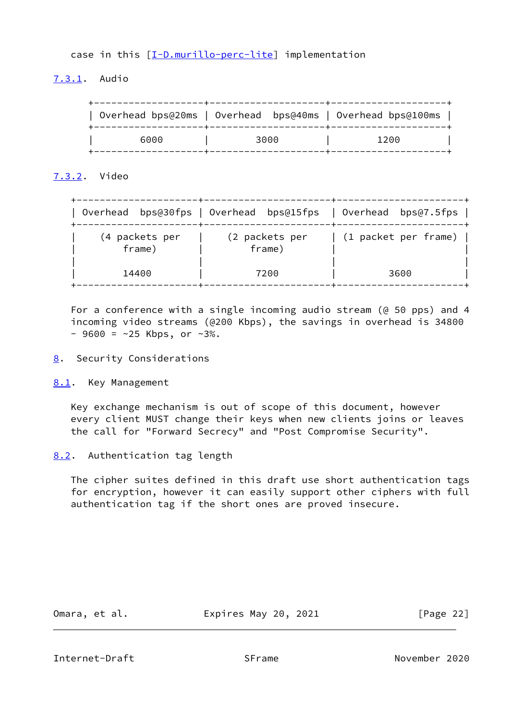case in this [\[I-D.murillo-perc-lite\]](#page-25-6) implementation

<span id="page-24-0"></span>[7.3.1](#page-24-0). Audio

|      | Overhead bps@20ms   Overhead bps@40ms   Overhead bps@100ms |      |
|------|------------------------------------------------------------|------|
| 6000 | 3000                                                       | 1200 |

<span id="page-24-1"></span>[7.3.2](#page-24-1). Video

|                          | Overhead bps@30fps   Overhead bps@15fps   Overhead bps@7.5fps |                                |
|--------------------------|---------------------------------------------------------------|--------------------------------|
| (4 packets per<br>frame) | (2 packets per<br>frame)                                      | $(1$ packet per frame) $\vert$ |
| 14400                    | 7200                                                          | 3600                           |

 For a conference with a single incoming audio stream (@ 50 pps) and 4 incoming video streams (@200 Kbps), the savings in overhead is 34800  $-$  9600 = ~25 Kbps, or ~3%.

- <span id="page-24-2"></span>[8](#page-24-2). Security Considerations
- <span id="page-24-3"></span>[8.1](#page-24-3). Key Management

 Key exchange mechanism is out of scope of this document, however every client MUST change their keys when new clients joins or leaves the call for "Forward Secrecy" and "Post Compromise Security".

<span id="page-24-4"></span>[8.2](#page-24-4). Authentication tag length

 The cipher suites defined in this draft use short authentication tags for encryption, however it can easily support other ciphers with full authentication tag if the short ones are proved insecure.

Omara, et al. Expires May 20, 2021 [Page 22]

<span id="page-24-5"></span>Internet-Draft SFrame November 2020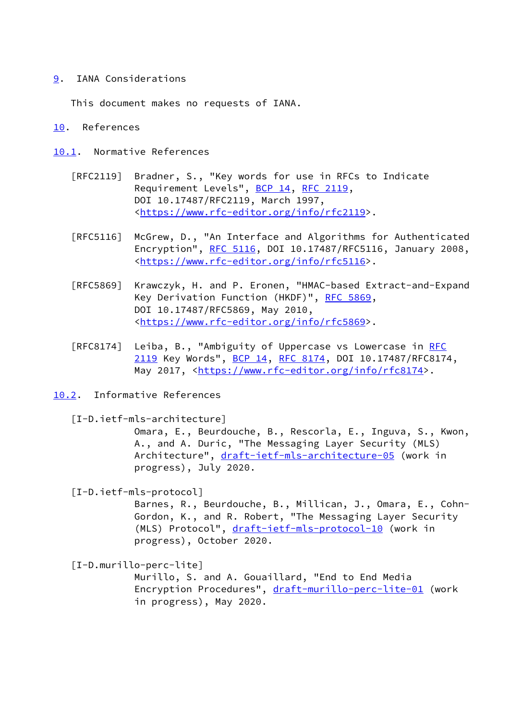## <span id="page-25-0"></span>[9](#page-25-0). IANA Considerations

This document makes no requests of IANA.

### <span id="page-25-1"></span>[10.](#page-25-1) References

- <span id="page-25-2"></span>[10.1](#page-25-2). Normative References
	- [RFC2119] Bradner, S., "Key words for use in RFCs to Indicate Requirement Levels", [BCP 14](https://datatracker.ietf.org/doc/pdf/bcp14), [RFC 2119](https://datatracker.ietf.org/doc/pdf/rfc2119), DOI 10.17487/RFC2119, March 1997, <[https://www.rfc-editor.org/info/rfc2119>](https://www.rfc-editor.org/info/rfc2119).
	- [RFC5116] McGrew, D., "An Interface and Algorithms for Authenticated Encryption", [RFC 5116](https://datatracker.ietf.org/doc/pdf/rfc5116), DOI 10.17487/RFC5116, January 2008, <[https://www.rfc-editor.org/info/rfc5116>](https://www.rfc-editor.org/info/rfc5116).
	- [RFC5869] Krawczyk, H. and P. Eronen, "HMAC-based Extract-and-Expand Key Derivation Function (HKDF)", [RFC 5869,](https://datatracker.ietf.org/doc/pdf/rfc5869) DOI 10.17487/RFC5869, May 2010, <[https://www.rfc-editor.org/info/rfc5869>](https://www.rfc-editor.org/info/rfc5869).
	- [RFC8174] Leiba, B., "Ambiguity of Uppercase vs Lowercase in [RFC](https://datatracker.ietf.org/doc/pdf/rfc2119) [2119](https://datatracker.ietf.org/doc/pdf/rfc2119) Key Words", [BCP 14](https://datatracker.ietf.org/doc/pdf/bcp14), [RFC 8174,](https://datatracker.ietf.org/doc/pdf/rfc8174) DOI 10.17487/RFC8174, May 2017, [<https://www.rfc-editor.org/info/rfc8174](https://www.rfc-editor.org/info/rfc8174)>.
- <span id="page-25-3"></span>[10.2](#page-25-3). Informative References

<span id="page-25-4"></span>[I-D.ietf-mls-architecture]

 Omara, E., Beurdouche, B., Rescorla, E., Inguva, S., Kwon, A., and A. Duric, "The Messaging Layer Security (MLS) Architecture", [draft-ietf-mls-architecture-05](https://datatracker.ietf.org/doc/pdf/draft-ietf-mls-architecture-05) (work in progress), July 2020.

<span id="page-25-5"></span>[I-D.ietf-mls-protocol]

 Barnes, R., Beurdouche, B., Millican, J., Omara, E., Cohn- Gordon, K., and R. Robert, "The Messaging Layer Security (MLS) Protocol", [draft-ietf-mls-protocol-10](https://datatracker.ietf.org/doc/pdf/draft-ietf-mls-protocol-10) (work in progress), October 2020.

<span id="page-25-6"></span>[I-D.murillo-perc-lite]

 Murillo, S. and A. Gouaillard, "End to End Media Encryption Procedures", [draft-murillo-perc-lite-01](https://datatracker.ietf.org/doc/pdf/draft-murillo-perc-lite-01) (work in progress), May 2020.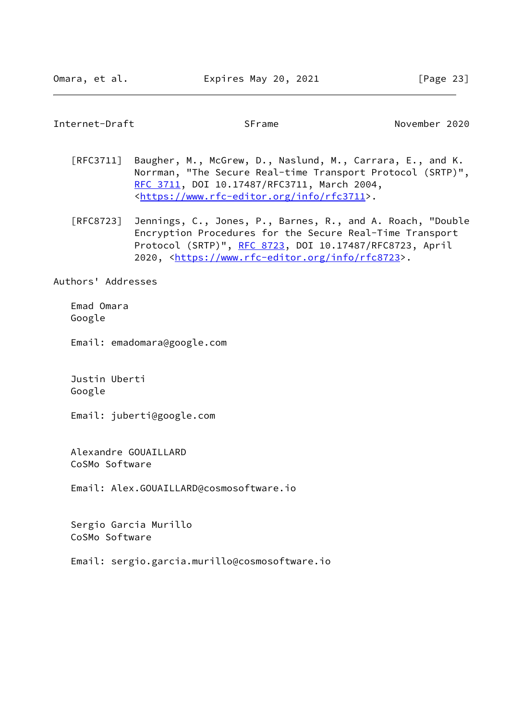#### <span id="page-26-0"></span>Internet-Draft SFrame November 2020

- [RFC3711] Baugher, M., McGrew, D., Naslund, M., Carrara, E., and K. Norrman, "The Secure Real-time Transport Protocol (SRTP)", [RFC 3711,](https://datatracker.ietf.org/doc/pdf/rfc3711) DOI 10.17487/RFC3711, March 2004, <[https://www.rfc-editor.org/info/rfc3711>](https://www.rfc-editor.org/info/rfc3711).
- [RFC8723] Jennings, C., Jones, P., Barnes, R., and A. Roach, "Double Encryption Procedures for the Secure Real-Time Transport Protocol (SRTP)", [RFC 8723](https://datatracker.ietf.org/doc/pdf/rfc8723), DOI 10.17487/RFC8723, April 2020, [<https://www.rfc-editor.org/info/rfc8723](https://www.rfc-editor.org/info/rfc8723)>.

Authors' Addresses

 Emad Omara Google

Email: emadomara@google.com

 Justin Uberti Google

Email: juberti@google.com

 Alexandre GOUAILLARD CoSMo Software

Email: Alex.GOUAILLARD@cosmosoftware.io

 Sergio Garcia Murillo CoSMo Software

Email: sergio.garcia.murillo@cosmosoftware.io